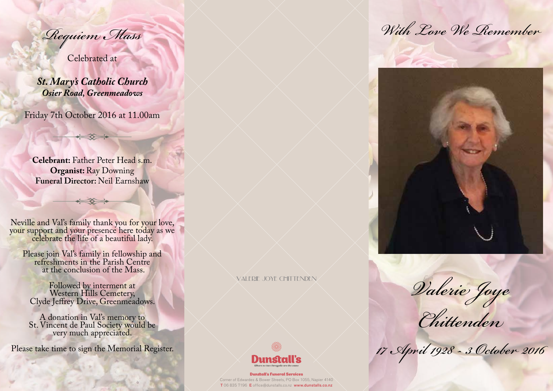*Requiem Mass*

Celebrated at

*St. Mary's Catholic Church Osier Road, Greenmeadows*

Friday 7th October 2016 at 11.00am

**Celebrant:** Father Peter Head s.m. **Organist:** Ray Downing **Funeral Director:** Neil Earnshaw

Neville and Val's family thank you for your love, your support and your presence here today as we celebrate the life of a beautiful lady.

Please join Val's family in fellowship and refreshments in the Parish Centre at the conclusion of the Mass.

Followed by interment at Western Hills Cemetery, Clyde Jeffrey Drive, Greenmeadows.

A donation in Val's memory to St. Vincent de Paul Society would be very much appreciated.

Please take time to sign the Memorial Register.

valerie joye chittenden



Dunstall's Funeral Services Corner of Edwardes & Bower Streets, PO Box 1055, Napier 4140 T 06 835 7196 E office@dunstalls.co.nz www.dunstalls.co.nz

*With Love We Remember*



*Valerie Joye*

*Chittenden*

*17 April 1928 - 3 October 2016*